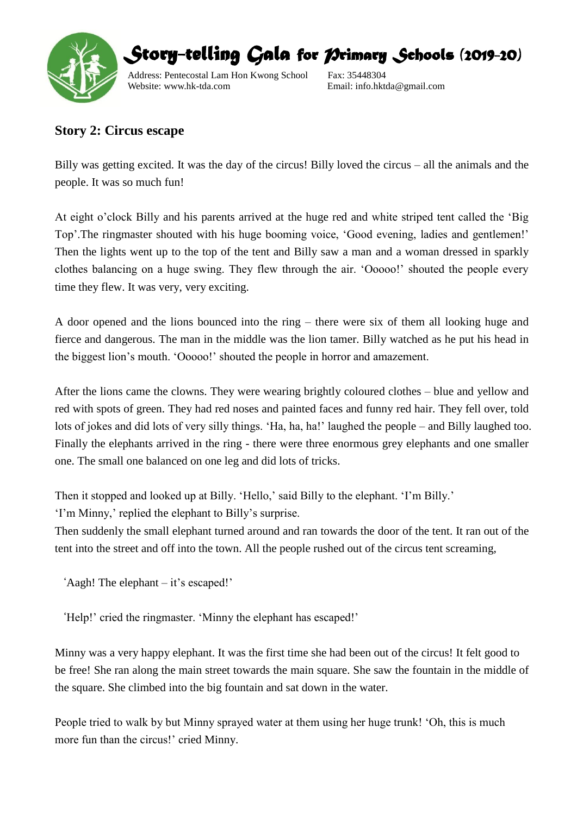

*Story-telling Gala for Primary Schools (2019-20)* 

Address: Pentecostal Lam Hon Kwong School Fax: 35448304 Website: www.hk-tda.com Email: info.hktda@gmail.com

## **Story 2: Circus escape**

Billy was getting excited. It was the day of the circus! Billy loved the circus – all the animals and the people. It was so much fun!

At eight o'clock Billy and his parents arrived at the huge red and white striped tent called the 'Big Top'.The ringmaster shouted with his huge booming voice, 'Good evening, ladies and gentlemen!' Then the lights went up to the top of the tent and Billy saw a man and a woman dressed in sparkly clothes balancing on a huge swing. They flew through the air. 'Ooooo!' shouted the people every time they flew. It was very, very exciting.

A door opened and the lions bounced into the ring – there were six of them all looking huge and fierce and dangerous. The man in the middle was the lion tamer. Billy watched as he put his head in the biggest lion's mouth. 'Ooooo!' shouted the people in horror and amazement.

After the lions came the clowns. They were wearing brightly coloured clothes – blue and yellow and red with spots of green. They had red noses and painted faces and funny red hair. They fell over, told lots of jokes and did lots of very silly things. 'Ha, ha, ha!' laughed the people – and Billy laughed too. Finally the elephants arrived in the ring - there were three enormous grey elephants and one smaller one. The small one balanced on one leg and did lots of tricks.

Then it stopped and looked up at Billy. 'Hello,' said Billy to the elephant. 'I'm Billy.'

'I'm Minny,' replied the elephant to Billy's surprise.

Then suddenly the small elephant turned around and ran towards the door of the tent. It ran out of the tent into the street and off into the town. All the people rushed out of the circus tent screaming,

'Aagh! The elephant – it's escaped!'

'Help!' cried the ringmaster. 'Minny the elephant has escaped!'

Minny was a very happy elephant. It was the first time she had been out of the circus! It felt good to be free! She ran along the main street towards the main square. She saw the fountain in the middle of the square. She climbed into the big fountain and sat down in the water.

People tried to walk by but Minny sprayed water at them using her huge trunk! 'Oh, this is much more fun than the circus!' cried Minny.